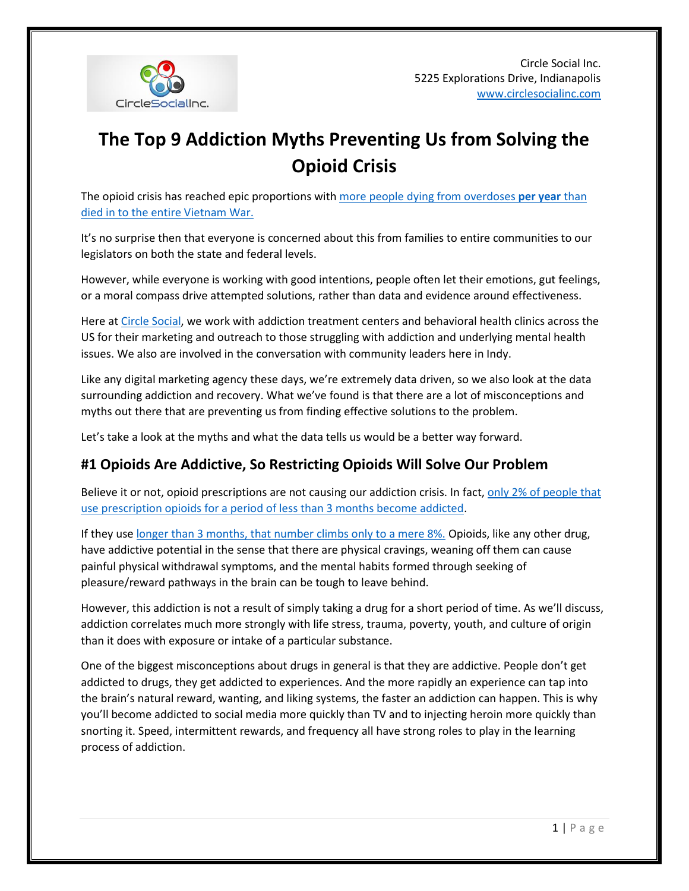

# **The Top 9 Addiction Myths Preventing Us from Solving the Opioid Crisis**

The opioid crisis has reached epic proportions wit[h more people dying from overdoses](https://www.cbsnews.com/news/opioids-drug-overdose-killed-more-americans-last-year-than-the-vietnam-war/) **per year** than [died in to the entire Vietnam War.](https://www.cbsnews.com/news/opioids-drug-overdose-killed-more-americans-last-year-than-the-vietnam-war/)

It's no surprise then that everyone is concerned about this from families to entire communities to our legislators on both the state and federal levels.

However, while everyone is working with good intentions, people often let their emotions, gut feelings, or a moral compass drive attempted solutions, rather than data and evidence around effectiveness.

Here a[t Circle Social,](http://www.circlesocialinc.com/) we work with addiction treatment centers and behavioral health clinics across the US for their marketing and outreach to those struggling with addiction and underlying mental health issues. We also are involved in the conversation with community leaders here in Indy.

Like any digital marketing agency these days, we're extremely data driven, so we also look at the data surrounding addiction and recovery. What we've found is that there are a lot of misconceptions and myths out there that are preventing us from finding effective solutions to the problem.

Let's take a look at the myths and what the data tells us would be a better way forward.

# **#1 Opioids Are Addictive, So Restricting Opioids Will Solve Our Problem**

Believe it or not, opioid prescriptions are not causing our addiction crisis. In fact, only 2% of people that [use prescription opioids for a period of less than 3 months become addicted.](https://www.ncbi.nlm.nih.gov/pubmed/27400458)

If they use [longer than 3 months, that number climbs only to a mere 8%.](http://www.nejm.org/doi/full/10.1056/NEJMra1507771#t=article) Opioids, like any other drug, have addictive potential in the sense that there are physical cravings, weaning off them can cause painful physical withdrawal symptoms, and the mental habits formed through seeking of pleasure/reward pathways in the brain can be tough to leave behind.

However, this addiction is not a result of simply taking a drug for a short period of time. As we'll discuss, addiction correlates much more strongly with life stress, trauma, poverty, youth, and culture of origin than it does with exposure or intake of a particular substance.

One of the biggest misconceptions about drugs in general is that they are addictive. People don't get addicted to drugs, they get addicted to experiences. And the more rapidly an experience can tap into the brain's natural reward, wanting, and liking systems, the faster an addiction can happen. This is why you'll become addicted to social media more quickly than TV and to injecting heroin more quickly than snorting it. Speed, intermittent rewards, and frequency all have strong roles to play in the learning process of addiction.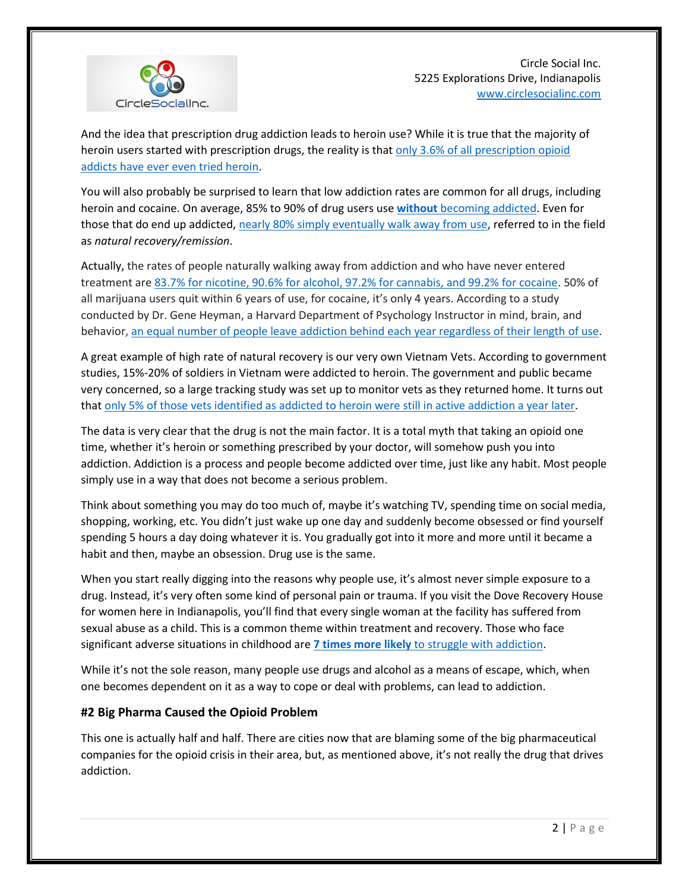

And the idea that prescription drug addiction leads to heroin use? While it is true that the majority of heroin users started with prescription drugs, the reality is tha[t only 3.6% of all prescription opioid](https://archive.samhsa.gov/data/2k13/DataReview/DR006/nonmedical-pain-reliever-use-2013.pdf)  [addicts have ever even tried heroin.](https://archive.samhsa.gov/data/2k13/DataReview/DR006/nonmedical-pain-reliever-use-2013.pdf)

You will also probably be surprised to learn that low addiction rates are common for all drugs, including heroin and cocaine. On average, 85% to 90% of drug users use **without** [becoming addicted.](https://www.ncbi.nlm.nih.gov/pubmed/19515516) Even for those that do end up addicted, nearly 80% [simply eventually walk away from use,](http://www.peele.net/faq/findings.html) referred to in the field as *natural recovery/remission*.

Actually, the rates of people naturally walking away from addiction and who have never entered treatment are [83.7% for nicotine, 90.6% for alcohol, 97.2% for cannabis, and 99.2% for cocaine.](https://www.ncbi.nlm.nih.gov/pmc/articles/PMC3227547/) 50% of all marijuana users quit within 6 years of use, for cocaine, it's only 4 years. According to a study conducted by Dr. Gene Heyman, a Harvard Department of Psychology Instructor in mind, brain, and behavior[, an equal number of people leave addiction behind each year regardless of their length of use.](http://geneheyman.com/wordpress/wp-content/uploads/2013/11/heymanannrevclinpsych13quitdrugs.pdf)

A great example of high rate of natural recovery is our very own Vietnam Vets. According to government studies, 15%-20% of soldiers in Vietnam were addicted to heroin. The government and public became very concerned, so a large tracking study was set up to monitor vets as they returned home. It turns out that [only 5% of those vets identified as addicted to heroin were still in active addiction a year later.](http://onlinelibrary.wiley.com/doi/10.1111/j.1521-0391.2010.00046.x/abstract)

The data is very clear that the drug is not the main factor. It is a total myth that taking an opioid one time, whether it's heroin or something prescribed by your doctor, will somehow push you into addiction. Addiction is a process and people become addicted over time, just like any habit. Most people simply use in a way that does not become a serious problem.

Think about something you may do too much of, maybe it's watching TV, spending time on social media, shopping, working, etc. You didn't just wake up one day and suddenly become obsessed or find yourself spending 5 hours a day doing whatever it is. You gradually got into it more and more until it became a habit and then, maybe an obsession. Drug use is the same.

When you start really digging into the reasons why people use, it's almost never simple exposure to a drug. Instead, it's very often some kind of personal pain or trauma. If you visit the Dove Recovery House for women here in Indianapolis, you'll find that every single woman at the facility has suffered from sexual abuse as a child. This is a common theme within treatment and recovery. Those who face significant adverse situations in childhood are **7 times more likely** [to struggle with addiction.](http://www.sciencedirect.com/science/article/pii/S0749379798000178)

While it's not the sole reason, many people use drugs and alcohol as a means of escape, which, when one becomes dependent on it as a way to cope or deal with problems, can lead to addiction.

#### **#2 Big Pharma Caused the Opioid Problem**

This one is actually half and half. There are cities now that are blaming some of the big pharmaceutical companies for the opioid crisis in their area, but, as mentioned above, it's not really the drug that drives addiction.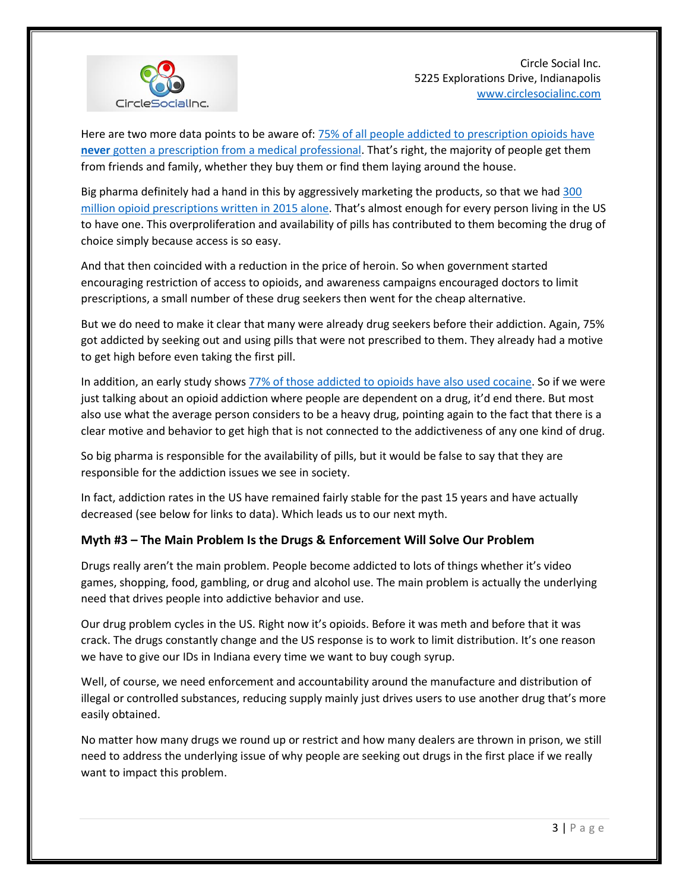

Here are two more data points to be aware of: **75% of all people addicted to prescription opioids** have **never** [gotten a prescription from a medical professional](https://www.samhsa.gov/data/sites/default/files/NSDUH-DetTabs2014/NSDUH-DetTabs2014.htm#tab6-47b). That's right, the majority of people get them from friends and family, whether they buy them or find them laying around the house.

Big pharma definitely had a hand in this by aggressively marketing the products, so that we ha[d 300](https://www.cnbc.com/2016/04/27/americans-consume-almost-all-of-the-global-opioid-supply.html)  [million opioid prescriptions written in 2015 alone.](https://www.cnbc.com/2016/04/27/americans-consume-almost-all-of-the-global-opioid-supply.html) That's almost enough for every person living in the US to have one. This overproliferation and availability of pills has contributed to them becoming the drug of choice simply because access is so easy.

And that then coincided with a reduction in the price of heroin. So when government started encouraging restriction of access to opioids, and awareness campaigns encouraged doctors to limit prescriptions, a small number of these drug seekers then went for the cheap alternative.

But we do need to make it clear that many were already drug seekers before their addiction. Again, 75% got addicted by seeking out and using pills that were not prescribed to them. They already had a motive to get high before even taking the first pill.

In addition, an early study shows [77% of those addicted to opioids have also used cocaine.](https://www.ncbi.nlm.nih.gov/pmc/articles/PMC2785002/) So if we were just talking about an opioid addiction where people are dependent on a drug, it'd end there. But most also use what the average person considers to be a heavy drug, pointing again to the fact that there is a clear motive and behavior to get high that is not connected to the addictiveness of any one kind of drug.

So big pharma is responsible for the availability of pills, but it would be false to say that they are responsible for the addiction issues we see in society.

In fact, addiction rates in the US have remained fairly stable for the past 15 years and have actually decreased (see below for links to data). Which leads us to our next myth.

#### **Myth #3 – The Main Problem Is the Drugs & Enforcement Will Solve Our Problem**

Drugs really aren't the main problem. People become addicted to lots of things whether it's video games, shopping, food, gambling, or drug and alcohol use. The main problem is actually the underlying need that drives people into addictive behavior and use.

Our drug problem cycles in the US. Right now it's opioids. Before it was meth and before that it was crack. The drugs constantly change and the US response is to work to limit distribution. It's one reason we have to give our IDs in Indiana every time we want to buy cough syrup.

Well, of course, we need enforcement and accountability around the manufacture and distribution of illegal or controlled substances, reducing supply mainly just drives users to use another drug that's more easily obtained.

No matter how many drugs we round up or restrict and how many dealers are thrown in prison, we still need to address the underlying issue of why people are seeking out drugs in the first place if we really want to impact this problem.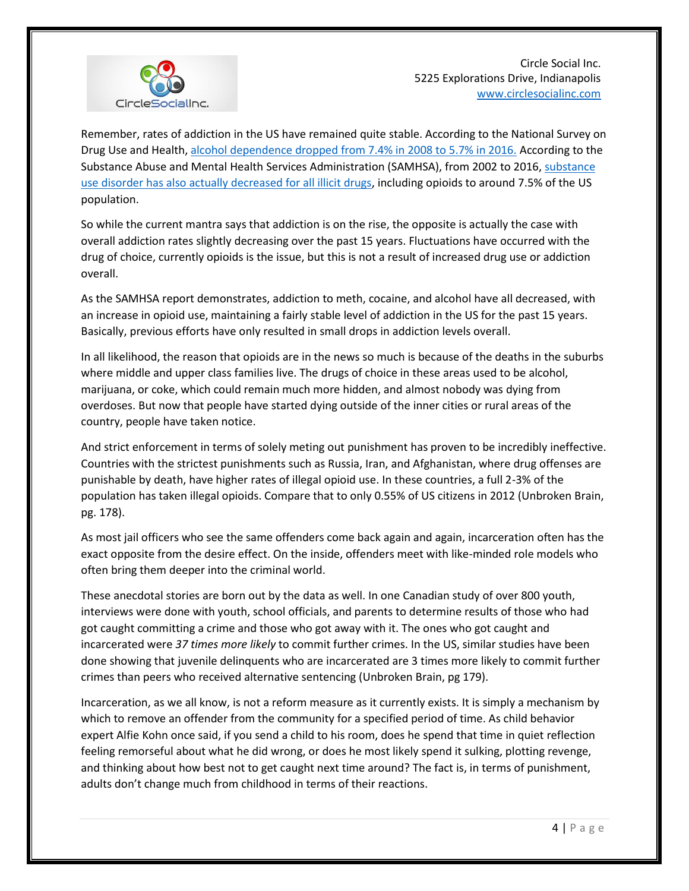

Remember, rates of addiction in the US have remained quite stable. According to the National Survey on Drug Use and Health[, alcohol dependence dropped from 7.4% in 2008 to 5.7% in 2016.](https://www.samhsa.gov/data/sites/default/files/NSDUHsaeLongTermCHG2016/NSDUHsaeLongTermCHG2016.pdf) According to the Substance Abuse and Mental Health Services Administration (SAMHSA), from 2002 to 2016, [substance](https://www.samhsa.gov/data/sites/default/files/NSDUH-FRR1-2014/NSDUH-FRR1-2014.pdf)  [use disorder has also actually decreased for all illicit drugs,](https://www.samhsa.gov/data/sites/default/files/NSDUH-FRR1-2014/NSDUH-FRR1-2014.pdf) including opioids to around 7.5% of the US population.

So while the current mantra says that addiction is on the rise, the opposite is actually the case with overall addiction rates slightly decreasing over the past 15 years. Fluctuations have occurred with the drug of choice, currently opioids is the issue, but this is not a result of increased drug use or addiction overall.

As the SAMHSA report demonstrates, addiction to meth, cocaine, and alcohol have all decreased, with an increase in opioid use, maintaining a fairly stable level of addiction in the US for the past 15 years. Basically, previous efforts have only resulted in small drops in addiction levels overall.

In all likelihood, the reason that opioids are in the news so much is because of the deaths in the suburbs where middle and upper class families live. The drugs of choice in these areas used to be alcohol, marijuana, or coke, which could remain much more hidden, and almost nobody was dying from overdoses. But now that people have started dying outside of the inner cities or rural areas of the country, people have taken notice.

And strict enforcement in terms of solely meting out punishment has proven to be incredibly ineffective. Countries with the strictest punishments such as Russia, Iran, and Afghanistan, where drug offenses are punishable by death, have higher rates of illegal opioid use. In these countries, a full 2-3% of the population has taken illegal opioids. Compare that to only 0.55% of US citizens in 2012 (Unbroken Brain, pg. 178).

As most jail officers who see the same offenders come back again and again, incarceration often has the exact opposite from the desire effect. On the inside, offenders meet with like-minded role models who often bring them deeper into the criminal world.

These anecdotal stories are born out by the data as well. In one Canadian study of over 800 youth, interviews were done with youth, school officials, and parents to determine results of those who had got caught committing a crime and those who got away with it. The ones who got caught and incarcerated were *37 times more likely* to commit further crimes. In the US, similar studies have been done showing that juvenile delinquents who are incarcerated are 3 times more likely to commit further crimes than peers who received alternative sentencing (Unbroken Brain, pg 179).

Incarceration, as we all know, is not a reform measure as it currently exists. It is simply a mechanism by which to remove an offender from the community for a specified period of time. As child behavior expert Alfie Kohn once said, if you send a child to his room, does he spend that time in quiet reflection feeling remorseful about what he did wrong, or does he most likely spend it sulking, plotting revenge, and thinking about how best not to get caught next time around? The fact is, in terms of punishment, adults don't change much from childhood in terms of their reactions.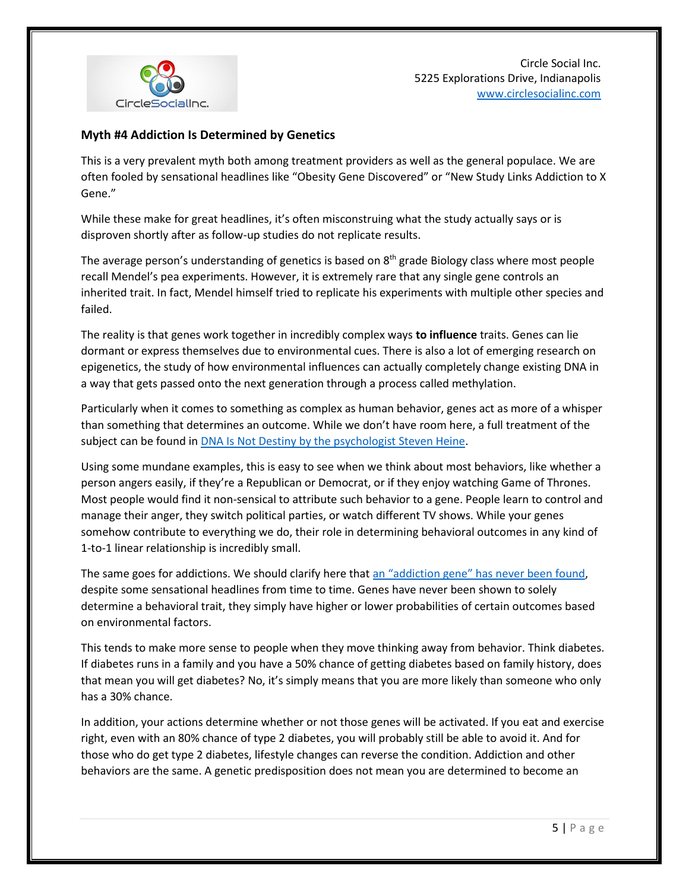

### **Myth #4 Addiction Is Determined by Genetics**

This is a very prevalent myth both among treatment providers as well as the general populace. We are often fooled by sensational headlines like "Obesity Gene Discovered" or "New Study Links Addiction to X Gene."

While these make for great headlines, it's often misconstruing what the study actually says or is disproven shortly after as follow-up studies do not replicate results.

The average person's understanding of genetics is based on 8<sup>th</sup> grade Biology class where most people recall Mendel's pea experiments. However, it is extremely rare that any single gene controls an inherited trait. In fact, Mendel himself tried to replicate his experiments with multiple other species and failed.

The reality is that genes work together in incredibly complex ways **to influence** traits. Genes can lie dormant or express themselves due to environmental cues. There is also a lot of emerging research on epigenetics, the study of how environmental influences can actually completely change existing DNA in a way that gets passed onto the next generation through a process called methylation.

Particularly when it comes to something as complex as human behavior, genes act as more of a whisper than something that determines an outcome. While we don't have room here, a full treatment of the subject can be found i[n DNA Is Not Destiny by the psychologist Steven Heine.](http://books.wwnorton.com/books/DNA-Is-Not-Destiny/)

Using some mundane examples, this is easy to see when we think about most behaviors, like whether a person angers easily, if they're a Republican or Democrat, or if they enjoy watching Game of Thrones. Most people would find it non-sensical to attribute such behavior to a gene. People learn to control and manage their anger, they switch political parties, or watch different TV shows. While your genes somehow contribute to everything we do, their role in determining behavioral outcomes in any kind of 1-to-1 linear relationship is incredibly small.

The same goes for addictions. We should clarify here that [an "addiction gene" has never been found](http://learn.genetics.utah.edu/content/addiction/genes/), despite some sensational headlines from time to time. Genes have never been shown to solely determine a behavioral trait, they simply have higher or lower probabilities of certain outcomes based on environmental factors.

This tends to make more sense to people when they move thinking away from behavior. Think diabetes. If diabetes runs in a family and you have a 50% chance of getting diabetes based on family history, does that mean you will get diabetes? No, it's simply means that you are more likely than someone who only has a 30% chance.

In addition, your actions determine whether or not those genes will be activated. If you eat and exercise right, even with an 80% chance of type 2 diabetes, you will probably still be able to avoid it. And for those who do get type 2 diabetes, lifestyle changes can reverse the condition. Addiction and other behaviors are the same. A genetic predisposition does not mean you are determined to become an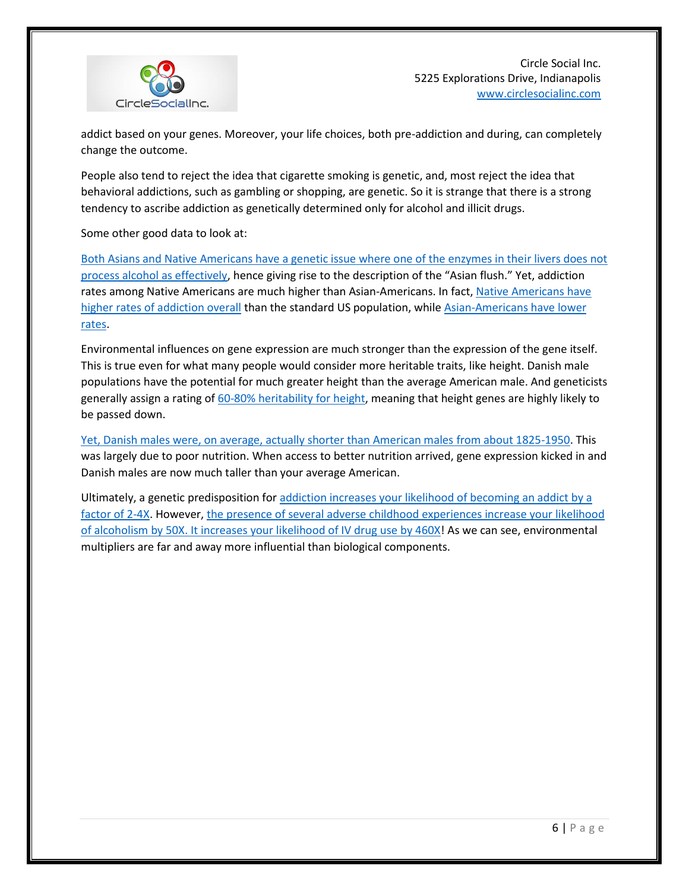

addict based on your genes. Moreover, your life choices, both pre-addiction and during, can completely change the outcome.

People also tend to reject the idea that cigarette smoking is genetic, and, most reject the idea that behavioral addictions, such as gambling or shopping, are genetic. So it is strange that there is a strong tendency to ascribe addiction as genetically determined only for alcohol and illicit drugs.

Some other good data to look at:

[Both Asians and Native Americans have a genetic issue where one of the enzymes in their livers does not](https://pubs.niaaa.nih.gov/publications/arh301/3-4.htm)  [process alcohol as effectively](https://pubs.niaaa.nih.gov/publications/arh301/3-4.htm), hence giving rise to the description of the "Asian flush." Yet, addiction rates among Native Americans are much higher than Asian-Americans. In fact, Native Americans have higher rates [of addiction overall](https://www.samhsa.gov/data/sites/default/files/NSDUHresultsPDFWHTML2013/Web/NSDUHresults2013.htm) than the standard US population, while Asian-Americans have lower [rates.](https://pubs.niaaa.nih.gov/publications/arh40/152-160.htm)

Environmental influences on gene expression are much stronger than the expression of the gene itself. This is true even for what many people would consider more heritable traits, like height. Danish male populations have the potential for much greater height than the average American male. And geneticists generally assign a rating o[f 60-80% heritability](https://www.scientificamerican.com/article/how-much-of-human-height/) for height, meaning that height genes are highly likely to be passed down.

[Yet, Danish males were, on average, actually shorter than American males from about 1825-1950.](http://www.randalolson.com/2014/06/23/why-the-dutch-are-so-tall/) This was largely due to poor nutrition. When access to better nutrition arrived, gene expression kicked in and Danish males are now much taller than your average American.

Ultimately, a genetic predisposition fo[r addiction increases your likelihood of becoming an addict by a](https://books.google.com/books?id=chn3BwAAQBAJ&pg=PR4&lpg=PR4&dq=educating+yourself+about+drugs+and+alcohol+schuck&source=bl&ots=BvSRX9O3NK&sig=2rPfd1IDRluVh6Sj963dzer1QSM&hl=en&sa=X&ved=0ahUKEwi6m5brrbrZAhXH44MKHbjQBTgQ6AEIJzAA#v=onepage&q=educating%20yourself%20about%20drugs%20and%20alcohol%20schuck&f=false)  [factor of 2-4X.](https://books.google.com/books?id=chn3BwAAQBAJ&pg=PR4&lpg=PR4&dq=educating+yourself+about+drugs+and+alcohol+schuck&source=bl&ots=BvSRX9O3NK&sig=2rPfd1IDRluVh6Sj963dzer1QSM&hl=en&sa=X&ved=0ahUKEwi6m5brrbrZAhXH44MKHbjQBTgQ6AEIJzAA#v=onepage&q=educating%20yourself%20about%20drugs%20and%20alcohol%20schuck&f=false) However[, the presence of several adverse childhood experiences increase your likelihood](http://www.tandfonline.com/doi/abs/10.1080/10852352.2012.707439)  [of alcoholism by 50X. It increases your likelihood of IV drug use by 460X!](http://www.tandfonline.com/doi/abs/10.1080/10852352.2012.707439) As we can see, environmental multipliers are far and away more influential than biological components.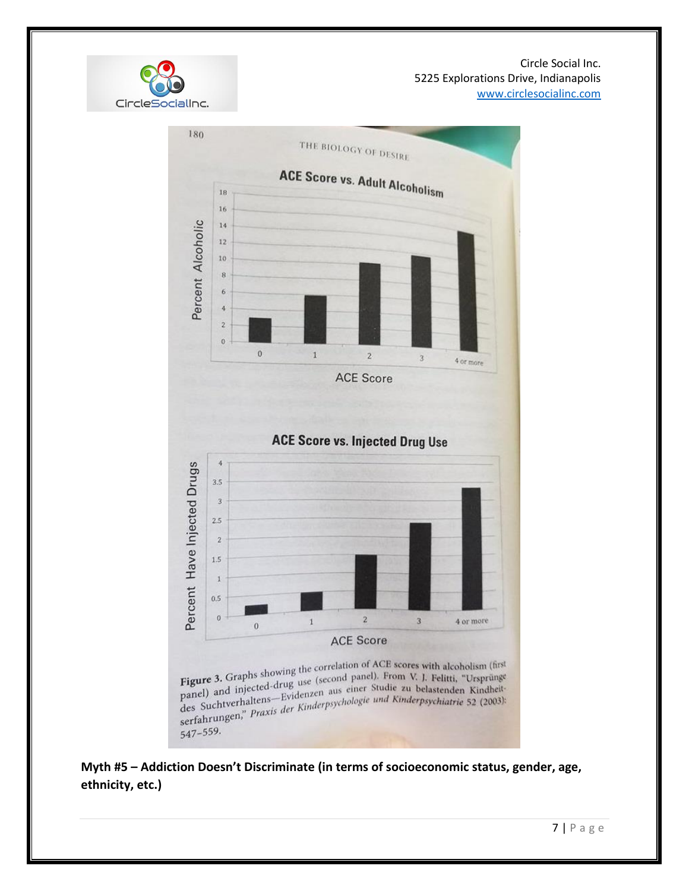

547-559.

CircleSocialInc.

**Myth #5 – Addiction Doesn't Discriminate (in terms of socioeconomic status, gender, age, ethnicity, etc.)**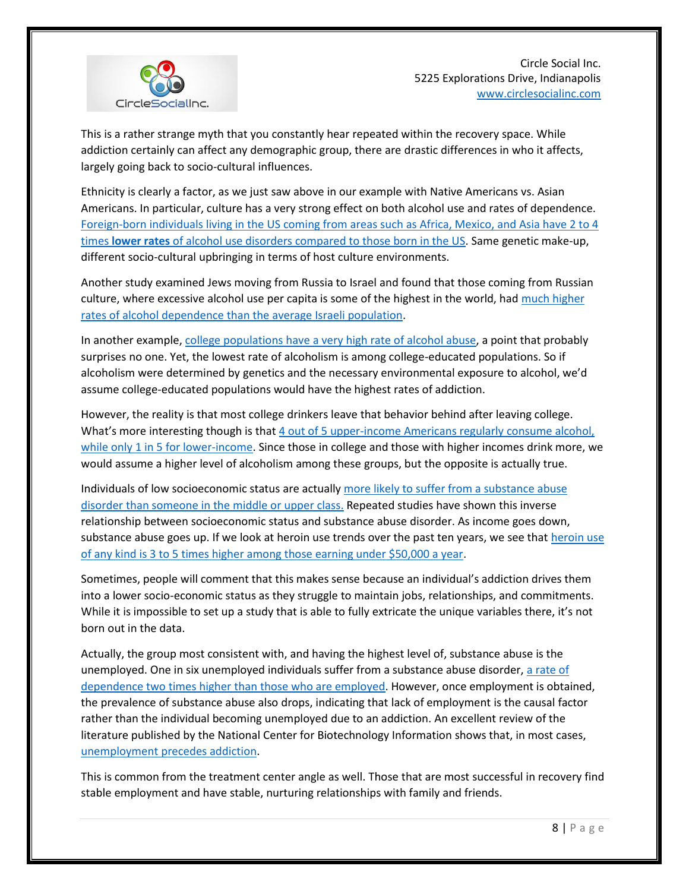

This is a rather strange myth that you constantly hear repeated within the recovery space. While addiction certainly can affect any demographic group, there are drastic differences in who it affects, largely going back to socio-cultural influences.

Ethnicity is clearly a factor, as we just saw above in our example with Native Americans vs. Asian Americans. In particular, culture has a very strong effect on both alcohol use and rates of dependence. [Foreign-born individuals living in the US coming from areas such as Africa, Mexico, and Asia have 2 to 4](https://www.ncbi.nlm.nih.gov/pmc/articles/PMC3133815/)  times **lower rates** [of alcohol use disorders compared to those born in the US.](https://www.ncbi.nlm.nih.gov/pmc/articles/PMC3133815/) Same genetic make-up, different socio-cultural upbringing in terms of host culture environments.

Another study examined Jews moving from Russia to Israel and found that those coming from Russian culture, where excessive alcohol use per capita is some of the highest in the world, had [much higher](https://www.ncbi.nlm.nih.gov/pmc/articles/PMC3469051/)  [rates of alcohol dependence than the average Israeli population.](https://www.ncbi.nlm.nih.gov/pmc/articles/PMC3469051/)

In another example, college populations [have a very high rate of alcohol abuse,](https://www.ncbi.nlm.nih.gov/pubmed/15753245) a point that probably surprises no one. Yet, the lowest rate of alcoholism is among college-educated populations. So if alcoholism were determined by genetics and the necessary environmental exposure to alcohol, we'd assume college-educated populations would have the highest rates of addiction.

However, the reality is that most college drinkers leave that behavior behind after leaving college. What's more interesting though is that 4 out of 5 upper-income Americans regularly consume alcohol, [while only 1 in 5 for lower-income.](http://news.gallup.com/poll/184358/drinking-highest-among-educated-upper-income-americans.aspx) Since those in college and those with higher incomes drink more, we would assume a higher level of alcoholism among these groups, but the opposite is actually true.

Individuals of low socioeconomic status are actually [more likely to suffer from a substance abuse](https://www.ncbi.nlm.nih.gov/pmc/articles/PMC4872618/)  [disorder than someone in the middle or upper](https://www.ncbi.nlm.nih.gov/pmc/articles/PMC4872618/) class. Repeated studies have shown this inverse relationship between socioeconomic status and substance abuse disorder. As income goes down, substance abuse goes up. If we look a[t heroin use](https://www.cdc.gov/vitalsigns/heroin/) trends over the past ten years, we see that heroin use [of any kind is 3 to 5 times higher among those earning under \\$50,000 a year.](https://www.cdc.gov/vitalsigns/heroin/)

Sometimes, people will comment that this makes sense because an individual's addiction drives them into a lower socio-economic status as they struggle to maintain jobs, relationships, and commitments. While it is impossible to set up a study that is able to fully extricate the unique variables there, it's not born out in the data.

Actually, the group most consistent with, and having the highest level of, substance abuse is the unemployed. One in six unemployed individuals suffer from a substance abuse disorder, [a rate of](http://money.cnn.com/2013/11/26/news/economy/drugs-unemployed/)  [dependence two times higher](http://money.cnn.com/2013/11/26/news/economy/drugs-unemployed/) than those who are employed. However, once employment is obtained, the prevalence of substance abuse also drops, indicating that lack of employment is the causal factor rather than the individual becoming unemployed due to an addiction. An excellent review of the literature published by the National Center for Biotechnology Information shows that, in most cases, [unemployment precedes addiction.](https://www.ncbi.nlm.nih.gov/pubmed/21466502)

This is common from the treatment center angle as well. Those that are most successful in recovery find stable employment and have stable, nurturing relationships with family and friends.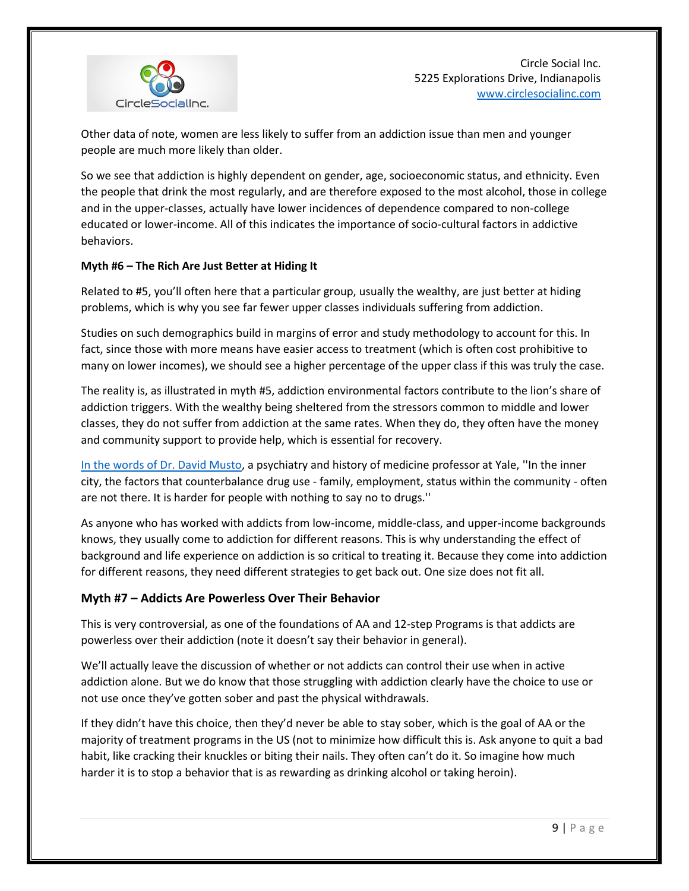

Other data of note, women are less likely to suffer from an addiction issue than men and younger people are much more likely than older.

So we see that addiction is highly dependent on gender, age, socioeconomic status, and ethnicity. Even the people that drink the most regularly, and are therefore exposed to the most alcohol, those in college and in the upper-classes, actually have lower incidences of dependence compared to non-college educated or lower-income. All of this indicates the importance of socio-cultural factors in addictive behaviors.

#### **Myth #6 – The Rich Are Just Better at Hiding It**

Related to #5, you'll often here that a particular group, usually the wealthy, are just better at hiding problems, which is why you see far fewer upper classes individuals suffering from addiction.

Studies on such demographics build in margins of error and study methodology to account for this. In fact, since those with more means have easier access to treatment (which is often cost prohibitive to many on lower incomes), we should see a higher percentage of the upper class if this was truly the case.

The reality is, as illustrated in myth #5, addiction environmental factors contribute to the lion's share of addiction triggers. With the wealthy being sheltered from the stressors common to middle and lower classes, they do not suffer from addiction at the same rates. When they do, they often have the money and community support to provide help, which is essential for recovery.

[In the words of Dr. David Musto,](http://www.nytimes.com/1987/08/30/us/rich-vs-poor-drug-patterns-are-diverging.html?pagewanted=all) a psychiatry and history of medicine professor at Yale, ''In the inner city, the factors that counterbalance drug use - family, employment, status within the community - often are not there. It is harder for people with nothing to say no to drugs.''

As anyone who has worked with addicts from low-income, middle-class, and upper-income backgrounds knows, they usually come to addiction for different reasons. This is why understanding the effect of background and life experience on addiction is so critical to treating it. Because they come into addiction for different reasons, they need different strategies to get back out. One size does not fit all.

#### **Myth #7 – Addicts Are Powerless Over Their Behavior**

This is very controversial, as one of the foundations of AA and 12-step Programs is that addicts are powerless over their addiction (note it doesn't say their behavior in general).

We'll actually leave the discussion of whether or not addicts can control their use when in active addiction alone. But we do know that those struggling with addiction clearly have the choice to use or not use once they've gotten sober and past the physical withdrawals.

If they didn't have this choice, then they'd never be able to stay sober, which is the goal of AA or the majority of treatment programs in the US (not to minimize how difficult this is. Ask anyone to quit a bad habit, like cracking their knuckles or biting their nails. They often can't do it. So imagine how much harder it is to stop a behavior that is as rewarding as drinking alcohol or taking heroin).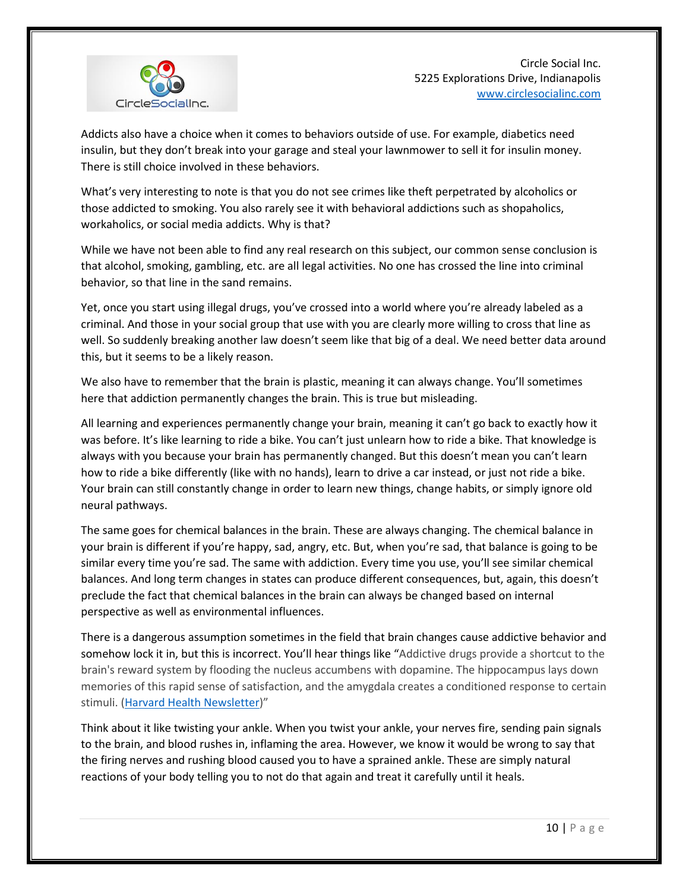

Addicts also have a choice when it comes to behaviors outside of use. For example, diabetics need insulin, but they don't break into your garage and steal your lawnmower to sell it for insulin money. There is still choice involved in these behaviors.

What's very interesting to note is that you do not see crimes like theft perpetrated by alcoholics or those addicted to smoking. You also rarely see it with behavioral addictions such as shopaholics, workaholics, or social media addicts. Why is that?

While we have not been able to find any real research on this subject, our common sense conclusion is that alcohol, smoking, gambling, etc. are all legal activities. No one has crossed the line into criminal behavior, so that line in the sand remains.

Yet, once you start using illegal drugs, you've crossed into a world where you're already labeled as a criminal. And those in your social group that use with you are clearly more willing to cross that line as well. So suddenly breaking another law doesn't seem like that big of a deal. We need better data around this, but it seems to be a likely reason.

We also have to remember that the brain is plastic, meaning it can always change. You'll sometimes here that addiction permanently changes the brain. This is true but misleading.

All learning and experiences permanently change your brain, meaning it can't go back to exactly how it was before. It's like learning to ride a bike. You can't just unlearn how to ride a bike. That knowledge is always with you because your brain has permanently changed. But this doesn't mean you can't learn how to ride a bike differently (like with no hands), learn to drive a car instead, or just not ride a bike. Your brain can still constantly change in order to learn new things, change habits, or simply ignore old neural pathways.

The same goes for chemical balances in the brain. These are always changing. The chemical balance in your brain is different if you're happy, sad, angry, etc. But, when you're sad, that balance is going to be similar every time you're sad. The same with addiction. Every time you use, you'll see similar chemical balances. And long term changes in states can produce different consequences, but, again, this doesn't preclude the fact that chemical balances in the brain can always be changed based on internal perspective as well as environmental influences.

There is a dangerous assumption sometimes in the field that brain changes cause addictive behavior and somehow lock it in, but this is incorrect. You'll hear things like "Addictive drugs provide a shortcut to the brain's reward system by flooding the nucleus accumbens with dopamine. The hippocampus lays down memories of this rapid sense of satisfaction, and the amygdala creates a conditioned response to certain stimuli. [\(Harvard Health Newsletter](https://www.health.harvard.edu/newsletter_article/how-addiction-hijacks-the-brain))"

Think about it like twisting your ankle. When you twist your ankle, your nerves fire, sending pain signals to the brain, and blood rushes in, inflaming the area. However, we know it would be wrong to say that the firing nerves and rushing blood caused you to have a sprained ankle. These are simply natural reactions of your body telling you to not do that again and treat it carefully until it heals.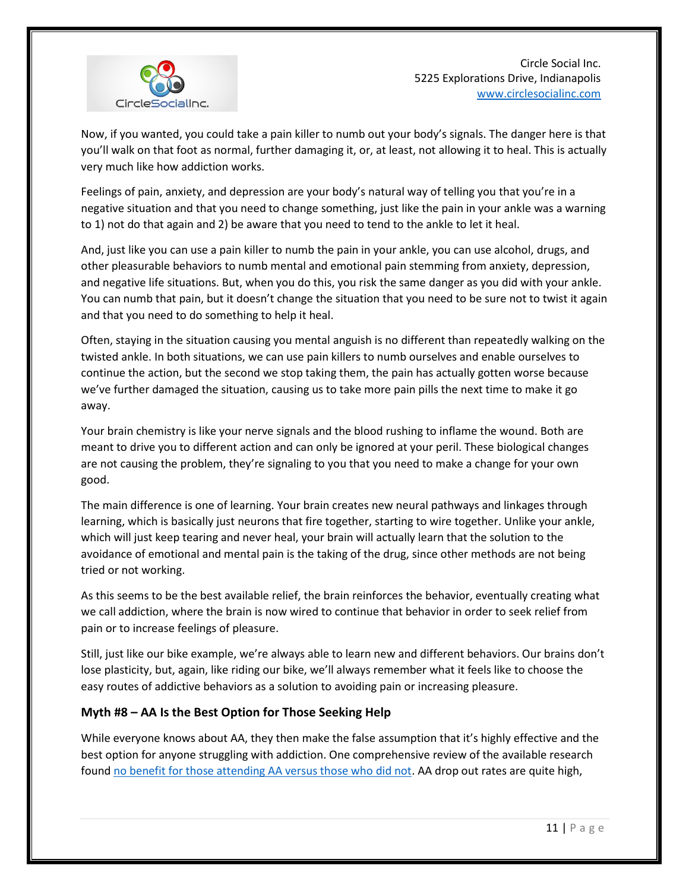

Now, if you wanted, you could take a pain killer to numb out your body's signals. The danger here is that you'll walk on that foot as normal, further damaging it, or, at least, not allowing it to heal. This is actually very much like how addiction works.

Feelings of pain, anxiety, and depression are your body's natural way of telling you that you're in a negative situation and that you need to change something, just like the pain in your ankle was a warning to 1) not do that again and 2) be aware that you need to tend to the ankle to let it heal.

And, just like you can use a pain killer to numb the pain in your ankle, you can use alcohol, drugs, and other pleasurable behaviors to numb mental and emotional pain stemming from anxiety, depression, and negative life situations. But, when you do this, you risk the same danger as you did with your ankle. You can numb that pain, but it doesn't change the situation that you need to be sure not to twist it again and that you need to do something to help it heal.

Often, staying in the situation causing you mental anguish is no different than repeatedly walking on the twisted ankle. In both situations, we can use pain killers to numb ourselves and enable ourselves to continue the action, but the second we stop taking them, the pain has actually gotten worse because we've further damaged the situation, causing us to take more pain pills the next time to make it go away.

Your brain chemistry is like your nerve signals and the blood rushing to inflame the wound. Both are meant to drive you to different action and can only be ignored at your peril. These biological changes are not causing the problem, they're signaling to you that you need to make a change for your own good.

The main difference is one of learning. Your brain creates new neural pathways and linkages through learning, which is basically just neurons that fire together, starting to wire together. Unlike your ankle, which will just keep tearing and never heal, your brain will actually learn that the solution to the avoidance of emotional and mental pain is the taking of the drug, since other methods are not being tried or not working.

As this seems to be the best available relief, the brain reinforces the behavior, eventually creating what we call addiction, where the brain is now wired to continue that behavior in order to seek relief from pain or to increase feelings of pleasure.

Still, just like our bike example, we're always able to learn new and different behaviors. Our brains don't lose plasticity, but, again, like riding our bike, we'll always remember what it feels like to choose the easy routes of addictive behaviors as a solution to avoiding pain or increasing pleasure.

# **Myth #8 – AA Is the Best Option for Those Seeking Help**

While everyone knows about AA, they then make the false assumption that it's highly effective and the best option for anyone struggling with addiction. One comprehensive review of the available research found [no benefit for those attending AA versus those who did not.](http://onlinelibrary.wiley.com/doi/10.1002/14651858.CD005032.pub2/pdf/abstract) AA drop out rates are quite high,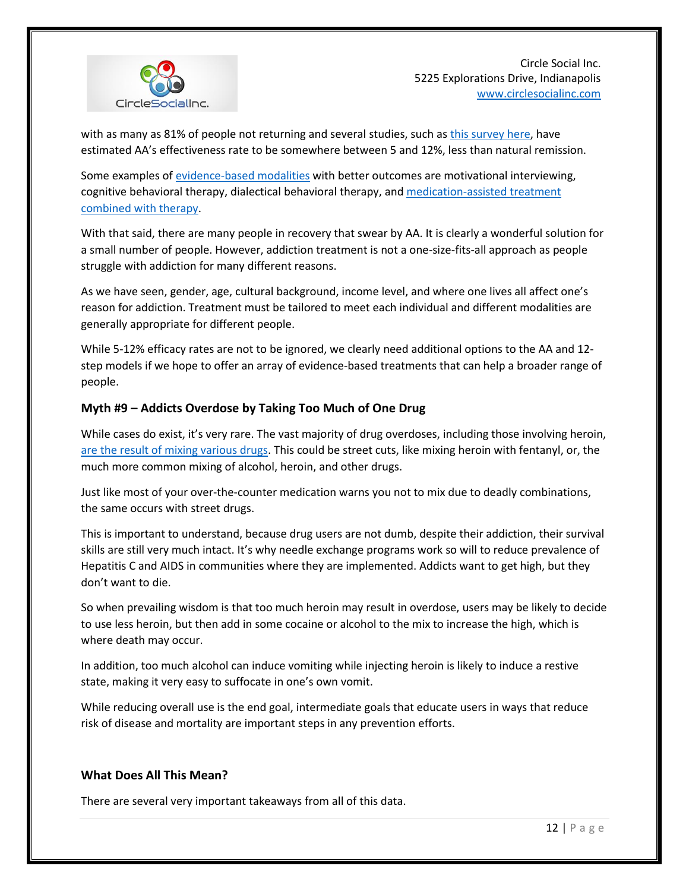

with as many as 81% of people not returning and several studies, such as [this survey here,](https://www.scribd.com/doc/3264243/Comments-on-A-A-s-Triennial-Surveys) have estimated AA's effectiveness rate to be somewhere between 5 and 12%, less than natural remission.

Some examples of [evidence-based modalities](https://www.ncbi.nlm.nih.gov/pmc/articles/PMC4031575/) with better outcomes are motivational interviewing, cognitive behavioral therapy, dialectical behavioral therapy, and [medication-assisted treatment](http://onlinelibrary.wiley.com/doi/10.1111/add.13193/full)  combined [with therapy.](http://onlinelibrary.wiley.com/doi/10.1111/add.13193/full)

With that said, there are many people in recovery that swear by AA. It is clearly a wonderful solution for a small number of people. However, addiction treatment is not a one-size-fits-all approach as people struggle with addiction for many different reasons.

As we have seen, gender, age, cultural background, income level, and where one lives all affect one's reason for addiction. Treatment must be tailored to meet each individual and different modalities are generally appropriate for different people.

While 5-12% efficacy rates are not to be ignored, we clearly need additional options to the AA and 12 step models if we hope to offer an array of evidence-based treatments that can help a broader range of people.

## **Myth #9 – Addicts Overdose by Taking Too Much of One Drug**

While cases do exist, it's very rare. The vast majority of drug overdoses, including those involving heroin, [are the result of mixing various drugs.](http://www.peele.net/lib/heroinoverdose.html) This could be street cuts, like mixing heroin with fentanyl, or, the much more common mixing of alcohol, heroin, and other drugs.

Just like most of your over-the-counter medication warns you not to mix due to deadly combinations, the same occurs with street drugs.

This is important to understand, because drug users are not dumb, despite their addiction, their survival skills are still very much intact. It's why needle exchange programs work so will to reduce prevalence of Hepatitis C and AIDS in communities where they are implemented. Addicts want to get high, but they don't want to die.

So when prevailing wisdom is that too much heroin may result in overdose, users may be likely to decide to use less heroin, but then add in some cocaine or alcohol to the mix to increase the high, which is where death may occur.

In addition, too much alcohol can induce vomiting while injecting heroin is likely to induce a restive state, making it very easy to suffocate in one's own vomit.

While reducing overall use is the end goal, intermediate goals that educate users in ways that reduce risk of disease and mortality are important steps in any prevention efforts.

#### **What Does All This Mean?**

There are several very important takeaways from all of this data.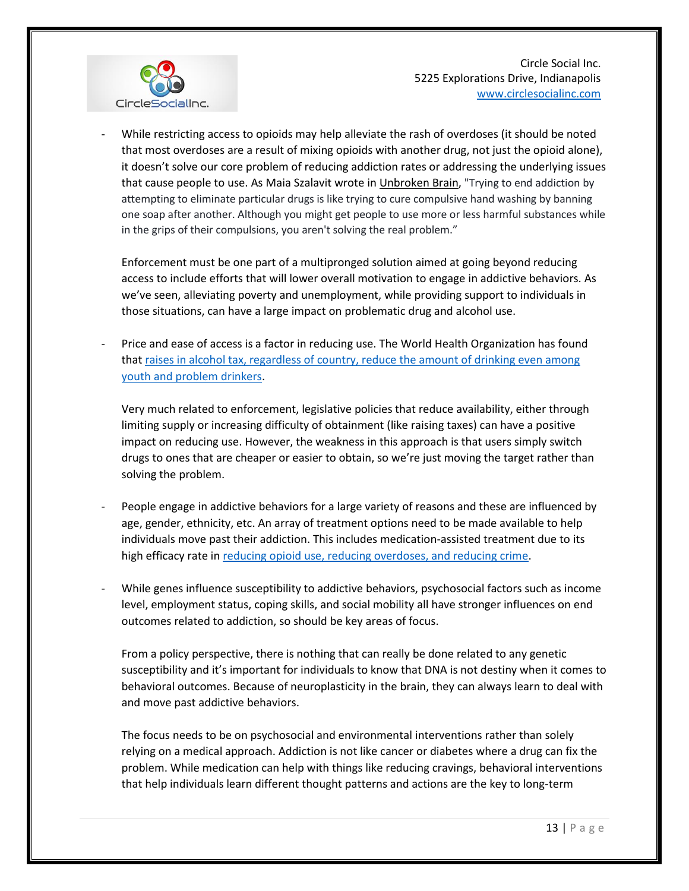

While restricting access to opioids may help alleviate the rash of overdoses (it should be noted that most overdoses are a result of mixing opioids with another drug, not just the opioid alone), it doesn't solve our core problem of reducing addiction rates or addressing the underlying issues that cause people to use. As Maia Szalavit wrote in Unbroken Brain, "Trying to end addiction by attempting to eliminate particular drugs is like trying to cure compulsive hand washing by banning one soap after another. Although you might get people to use more or less harmful substances while in the grips of their compulsions, you aren't solving the real problem."

Enforcement must be one part of a multipronged solution aimed at going beyond reducing access to include efforts that will lower overall motivation to engage in addictive behaviors. As we've seen, alleviating poverty and unemployment, while providing support to individuals in those situations, can have a large impact on problematic drug and alcohol use.

- Price and ease of access is a factor in reducing use. The World Health Organization has found that [raises in alcohol tax, regardless of country, reduce the amount of drinking even among](http://www.who.int/substance_abuse/publications/global_alcohol_report/msbgsruprofiles.pdf)  [youth and problem drinkers.](http://www.who.int/substance_abuse/publications/global_alcohol_report/msbgsruprofiles.pdf)

Very much related to enforcement, legislative policies that reduce availability, either through limiting supply or increasing difficulty of obtainment (like raising taxes) can have a positive impact on reducing use. However, the weakness in this approach is that users simply switch drugs to ones that are cheaper or easier to obtain, so we're just moving the target rather than solving the problem.

- People engage in addictive behaviors for a large variety of reasons and these are influenced by age, gender, ethnicity, etc. An array of treatment options need to be made available to help individuals move past their addiction. This includes medication-assisted treatment due to its high efficacy rate in [reducing opioid use, reducing overdoses, and reducing crime.](https://www.drugabuse.gov/publications/effective-treatments-opioid-addiction/effective-treatments-opioid-addiction)
- While genes influence susceptibility to addictive behaviors, psychosocial factors such as income level, employment status, coping skills, and social mobility all have stronger influences on end outcomes related to addiction, so should be key areas of focus.

From a policy perspective, there is nothing that can really be done related to any genetic susceptibility and it's important for individuals to know that DNA is not destiny when it comes to behavioral outcomes. Because of neuroplasticity in the brain, they can always learn to deal with and move past addictive behaviors.

The focus needs to be on psychosocial and environmental interventions rather than solely relying on a medical approach. Addiction is not like cancer or diabetes where a drug can fix the problem. While medication can help with things like reducing cravings, behavioral interventions that help individuals learn different thought patterns and actions are the key to long-term